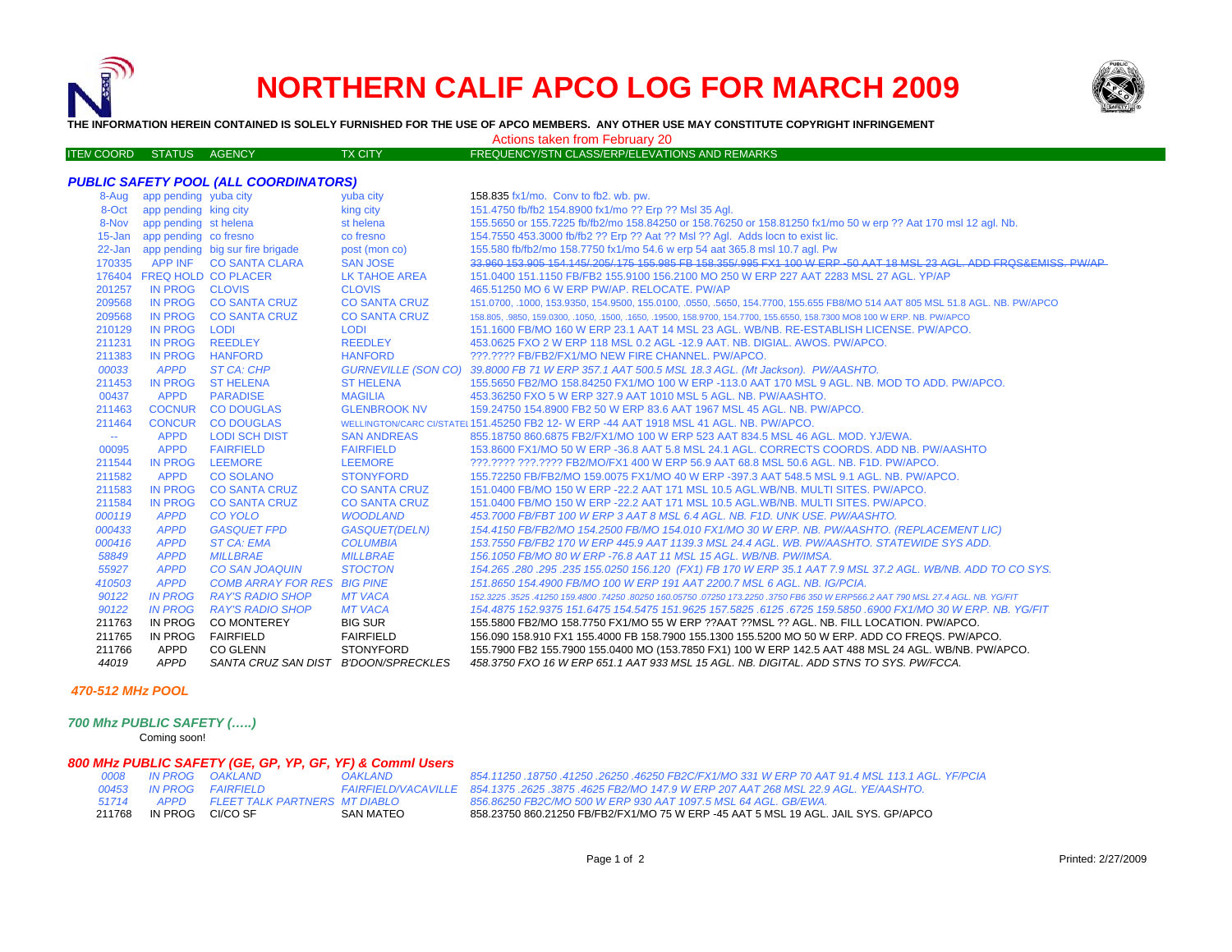

## **NORTHERN CALIF APCO LOG FOR MARCH 2009**



**THE INFORMATION HEREIN CONTAINED IS SOLELY FURNISHED FOR THE USE OF APCO MEMBERS. ANY OTHER USE MAY CONSTITUTE COPYRIGHT INFRINGEMENT**

Actions taken from February 20

| FREQUENCY/STN CLASS/ERP/ELEVATIONS AND REMARKS<br><b>ITEN COORD STATUS</b><br><b>TX CITY</b><br>AGENCY |  |
|--------------------------------------------------------------------------------------------------------|--|
|--------------------------------------------------------------------------------------------------------|--|

| <b>PUBLIC SAFETY POOL (ALL COORDINATORS)</b> |                              |                                         |                      |                                                                                                                             |  |  |
|----------------------------------------------|------------------------------|-----------------------------------------|----------------------|-----------------------------------------------------------------------------------------------------------------------------|--|--|
|                                              | 8-Aug app pending yuba city  |                                         | yuba city            | 158.835 fx1/mo. Conv to fb2. wb. pw.                                                                                        |  |  |
|                                              | 8-Oct app pending king city  |                                         | king city            | 151.4750 fb/fb2 154.8900 fx1/mo ?? Erp ?? Msl 35 Agl.                                                                       |  |  |
|                                              | 8-Nov app pending st helena  |                                         | st helena            | 155.5650 or 155.7225 fb/fb2/mo 158.84250 or 158.76250 or 158.81250 fx1/mo 50 w erp ?? Aat 170 msl 12 agl. Nb.               |  |  |
|                                              | 15-Jan app pending co fresno |                                         | co fresno            | 154.7550 453.3000 fb/fb2 ?? Erp ?? Aat ?? Msl ?? Agl. Adds locn to exist lic.                                               |  |  |
|                                              |                              | 22-Jan app pending big sur fire brigade | post (mon co)        | 155.580 fb/fb2/mo 158.7750 fx1/mo 54.6 w erp 54 aat 365.8 msl 10.7 agl. Pw                                                  |  |  |
|                                              |                              | 170335 APP INF CO SANTA CLARA           | <b>SAN JOSE</b>      | 33,960 153,905 154,145/ 205/ 175 155,985 FB 158,355/ 995 FX1 100 W ERP -50 AAT 18 MSL 23 AGL, ADD FROS&EMISS, PW/AP         |  |  |
|                                              | 176404 FREQ HOLD CO PLACER   |                                         | <b>LK TAHOE AREA</b> | 151,0400 151,1150 FB/FB2 155,9100 156,2100 MO 250 W ERP 227 AAT 2283 MSL 27 AGL, YP/AP                                      |  |  |
| 201257                                       | IN PROG CLOVIS               |                                         | <b>CLOVIS</b>        | 465.51250 MO 6 W ERP PW/AP, RELOCATE, PW/AP                                                                                 |  |  |
| 209568                                       |                              | IN PROG CO SANTA CRUZ                   | <b>CO SANTA CRUZ</b> | 151.0700, .1000, 153.9350, 154.9500, 155.0100, .0550, .5650, 154.7700, 155.655 FB8/MO 514 AAT 805 MSL 51.8 AGL. NB. PW/APCO |  |  |
| 209568                                       |                              | IN PROG CO SANTA CRUZ                   | <b>CO SANTA CRUZ</b> | 158.805, 9850, 159.0300, 1050, 1500, 1650, 19500, 158.9700, 154.7700, 155.6550, 158.7300 MO8 100 W ERP. NB. PW/APCO         |  |  |
| 210129                                       | IN PROG LODI                 |                                         | LODI                 | 151.1600 FB/MO 160 W ERP 23.1 AAT 14 MSL 23 AGL. WB/NB, RE-ESTABLISH LICENSE, PW/APCO,                                      |  |  |
| 211231                                       | IN PROG REEDLEY              |                                         | <b>REEDLEY</b>       | 453.0625 FXO 2 W ERP 118 MSL 0.2 AGL -12.9 AAT. NB. DIGIAL. AWOS. PW/APCO.                                                  |  |  |
| 211383                                       | IN PROG HANFORD              |                                         | <b>HANFORD</b>       | ???.???? FB/FB2/FX1/MO NEW FIRE CHANNEL, PW/APCO.                                                                           |  |  |
| 00033                                        | <b>APPD</b>                  | ST CA: CHP                              |                      | GURNEVILLE (SON CO) 39.8000 FB 71 W ERP 357.1 AAT 500.5 MSL 18.3 AGL. (Mt Jackson). PW/AASHTO.                              |  |  |
| 211453                                       |                              | IN PROG ST HELENA                       | <b>ST HELENA</b>     | 155.5650 FB2/MO 158.84250 FX1/MO 100 W ERP -113.0 AAT 170 MSL 9 AGL. NB. MOD TO ADD. PW/APCO.                               |  |  |
| 00437                                        | <b>APPD</b>                  | <b>PARADISE</b>                         | <b>MAGILIA</b>       | 453.36250 FXO 5 W ERP 327.9 AAT 1010 MSL 5 AGL, NB, PW/AASHTO.                                                              |  |  |
| 211463                                       |                              | COCNUR CO DOUGLAS                       | <b>GLENBROOK NV</b>  | 159.24750 154.8900 FB2 50 W ERP 83.6 AAT 1967 MSL 45 AGL. NB. PW/APCO.                                                      |  |  |
| 211464                                       |                              | CONCUR CO DOUGLAS                       |                      | WELLINGTON/CARC CI/STATEL 151.45250 FB2 12- W ERP -44 AAT 1918 MSL 41 AGL. NB. PW/APCO.                                     |  |  |
| $\sim$                                       | <b>APPD</b>                  | <b>LODI SCH DIST</b>                    | <b>SAN ANDREAS</b>   | 855.18750 860.6875 FB2/FX1/MO 100 W ERP 523 AAT 834.5 MSL 46 AGL. MOD. YJ/EWA.                                              |  |  |
| 00095                                        | <b>APPD</b>                  | <b>FAIRFIELD</b>                        | <b>FAIRFIELD</b>     | 153.8600 FX1/MO 50 W ERP -36.8 AAT 5.8 MSL 24.1 AGL. CORRECTS COORDS. ADD NB. PW/AASHTO                                     |  |  |
| 211544                                       | IN PROG                      | <b>LEEMORE</b>                          | <b>LEEMORE</b>       | ???.???? ???.???? FB2/MO/FX1 400 W ERP 56.9 AAT 68.8 MSL 50.6 AGL. NB. F1D. PW/APCO.                                        |  |  |
| 211582                                       | <b>APPD</b>                  | <b>CO SOLANO</b>                        | <b>STONYFORD</b>     | 155.72250 FB/FB2/MO 159.0075 FX1/MO 40 W ERP -397.3 AAT 548.5 MSL 9.1 AGL, NB, PW/APCO,                                     |  |  |
| 211583                                       | <b>IN PROG</b>               | <b>CO SANTA CRUZ</b>                    | <b>CO SANTA CRUZ</b> | 151.0400 FB/MO 150 W ERP -22.2 AAT 171 MSL 10.5 AGL.WB/NB, MULTI SITES, PW/APCO,                                            |  |  |
| 211584                                       | <b>IN PROG</b>               | <b>CO SANTA CRUZ</b>                    | <b>CO SANTA CRUZ</b> | 151.0400 FB/MO 150 W ERP -22.2 AAT 171 MSL 10.5 AGL.WB/NB, MULTI SITES, PW/APCO,                                            |  |  |
| 000119                                       | <b>APPD</b>                  | <b>CO YOLO</b>                          | <b>WOODLAND</b>      | 453.7000 FB/FBT 100 W ERP 3 AAT 8 MSL 6.4 AGL. NB. F1D. UNK USE. PW/AASHTO.                                                 |  |  |
| 000433                                       | <b>APPD</b>                  | <b>GASQUET FPD</b>                      | <b>GASQUET(DELN)</b> | 154.4150 FB/FB2/MO 154.2500 FB/MO 154.010 FX1/MO 30 W ERP. NB. PW/AASHTO. (REPLACEMENT LIC)                                 |  |  |
| 000416                                       | <b>APPD</b>                  | <b>ST CA: EMA</b>                       | <b>COLUMBIA</b>      | 153.7550 FB/FB2 170 W ERP 445.9 AAT 1139.3 MSL 24.4 AGL, WB, PW/AASHTO, STATEWIDE SYS ADD,                                  |  |  |
| 58849                                        | <b>APPD</b>                  | <b>MILLBRAE</b>                         | <b>MILLBRAE</b>      | 156.1050 FB/MO 80 W ERP -76.8 AAT 11 MSL 15 AGL, WB/NB, PW/IMSA.                                                            |  |  |
| 55927                                        | <b>APPD</b>                  | <b>CO SAN JOAQUIN</b>                   | <b>STOCTON</b>       | 154.265 .280 .295 .235 155.0250 156.120 (FX1) FB 170 W ERP 35.1 AAT 7.9 MSL 37.2 AGL. WB/NB. ADD TO CO SYS.                 |  |  |
| 410503                                       | <b>APPD</b>                  | <b>COMB ARRAY FOR RES BIG PINE</b>      |                      | 151.8650 154.4900 FB/MO 100 W ERP 191 AAT 2200.7 MSL 6 AGL, NB, IG/PCIA.                                                    |  |  |
| 90122                                        | <b>IN PROG</b>               | <b>RAY'S RADIO SHOP</b>                 | <b>MT VACA</b>       | 152,3225,3525,41250 159,4800,74250,80250 160,05750,07250 173,2250,3750 FB6 350 W ERP566,2 AAT 790 MSL 27,4 AGL, NB, YG/FIT  |  |  |
| 90122                                        | <b>IN PROG</b>               | RAY'S RADIO SHOP                        | <b>MT VACA</b>       | 154.4875 152.9375 151.6475 154.5475 151.9625 157.5825 .6125 .6725 159.5850 .6900 FX1/MO 30 W ERP. NB. YG/FIT                |  |  |
| 211763                                       | IN PROG                      | CO MONTEREY                             | <b>BIG SUR</b>       | 155.5800 FB2/MO 158.7750 FX1/MO 55 W ERP ??AAT ??MSL ?? AGL. NB. FILL LOCATION. PW/APCO.                                    |  |  |
| 211765                                       | IN PROG                      | <b>FAIRFIELD</b>                        | <b>FAIRFIELD</b>     | 156.090 158.910 FX1 155.4000 FB 158.7900 155.1300 155.5200 MO 50 W ERP. ADD CO FREQS. PW/APCO.                              |  |  |
| 211766                                       | APPD                         | <b>CO GLENN</b>                         | <b>STONYFORD</b>     | 155.7900 FB2 155.7900 155.0400 MO (153.7850 FX1) 100 W ERP 142.5 AAT 488 MSL 24 AGL. WB/NB. PW/APCO.                        |  |  |
| 44019                                        | <b>APPD</b>                  | SANTA CRUZ SAN DIST B'DOON/SPRECKLES    |                      | 458.3750 FXO 16 W ERP 651.1 AAT 933 MSL 15 AGL. NB. DIGITAL. ADD STNS TO SYS. PW/FCCA.                                      |  |  |

## *470-512 MHz POOL*

*700 Mhz PUBLIC SAFETY (…..)*

Coming soon!

## *800 MHz PUBLIC SAFETY (GE, GP, YP, GF, YF) & Comml Users*

| 0008 - |                  | IN PROG OAKLAND                      | <b>OAKLAND</b>            |
|--------|------------------|--------------------------------------|---------------------------|
| 00453  |                  | <b>IN PROG</b> FAIRFIELD             | <b>FAIRFIELD/VACAVILL</b> |
| 51714  | APPD             | <b>FLEET TALK PARTNERS MT DIABLO</b> |                           |
| 211768 | IN PROG CI/CO SF |                                      | SAN MATEO                 |

*0008 IN PROG OAKLAND OAKLAND 854.11250 .18750 .41250 .26250 .46250 FB2C/FX1/MO 331 W ERP 70 AAT 91.4 MSL 113.1 AGL. YF/PCIA E 854.1375 .2625 .3875 .4625 FB2/MO 147.9 W ERP 207 AAT 268 MSL 22.9 AGL. YE/AASHTO. APPD FLEET TALK PARTNERS MT DIABLO 856.86250 FB2C/MO 500 W ERP 930 AAT 1097.5 MSL 64 AGL. GB/EWA.* 211768 IN PROG CI/CO SF SAN MATEO 858.23750 860.21250 FB/FB2/FX1/MO 75 W ERP -45 AAT 5 MSL 19 AGL. JAIL SYS. GP/APCO